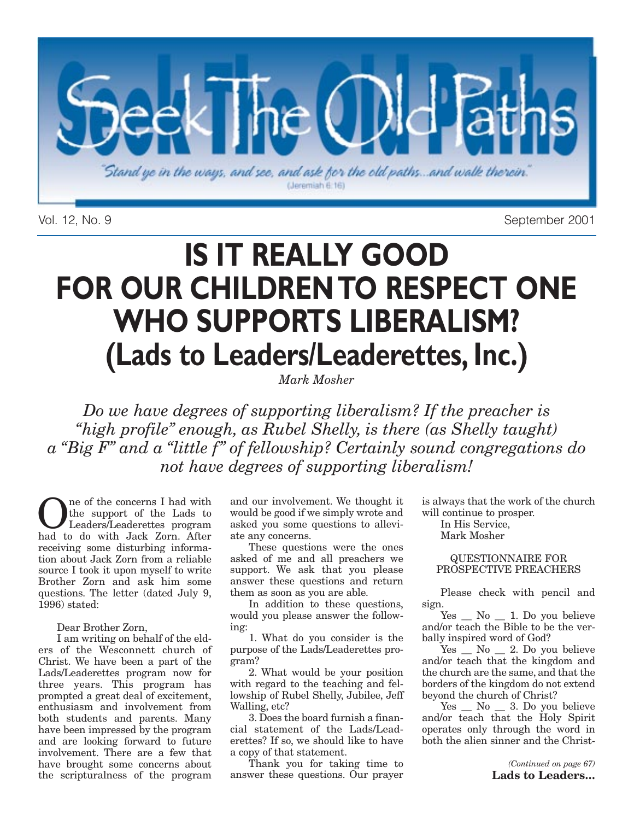

Vol. 12, No. 9 September 2001

# **IS IT REALLY GOOD FOR OUR CHILDREN TO RESPECT ONE WHO SUPPORTS LIBERALISM? (Lads to Leaders/Leaderettes, Inc.)**

*Mark Mosher*

*Do we have degrees of supporting liberalism? If the preacher is "high profile" enough, as Rubel Shelly, is there (as Shelly taught) a "Big F" and a "little f" of fellowship? Certainly sound congregations do not have degrees of supporting liberalism!*

One of the concerns I had with<br>Leaders/Leaderettes program<br>had to do with Jack Zorn After the support of the Lads to had to do with Jack Zorn. After receiving some disturbing information about Jack Zorn from a reliable source I took it upon myself to write Brother Zorn and ask him some questions. The letter (dated July 9, 1996) stated:

#### Dear Brother Zorn,

I am writing on behalf of the elders of the Wesconnett church of Christ. We have been a part of the Lads/Leaderettes program now for three years. This program has prompted a great deal of excitement, enthusiasm and involvement from both students and parents. Many have been impressed by the program and are looking forward to future involvement. There are a few that have brought some concerns about the scripturalness of the program and our involvement. We thought it would be good if we simply wrote and asked you some questions to alleviate any concerns.

These questions were the ones asked of me and all preachers we support. We ask that you please answer these questions and return them as soon as you are able.

In addition to these questions, would you please answer the following:

1. What do you consider is the purpose of the Lads/Leaderettes program?

2. What would be your position with regard to the teaching and fellowship of Rubel Shelly, Jubilee, Jeff Walling, etc?

3. Does the board furnish a financial statement of the Lads/Leaderettes? If so, we should like to have a copy of that statement.

Thank you for taking time to answer these questions. Our prayer is always that the work of the church will continue to prosper.

In His Service, Mark Mosher

QUESTIONNAIRE FOR PROSPECTIVE PREACHERS

Please check with pencil and sign.

 $Yes \_ No \_ 1. Do you believe$ and/or teach the Bible to be the verbally inspired word of God?

Yes  $\frac{1}{\sqrt{2}}$  No  $\frac{1}{\sqrt{2}}$  2. Do you believe and/or teach that the kingdom and the church are the same, and that the borders of the kingdom do not extend beyond the church of Christ?

Yes \_ No \_ 3. Do you believe and/or teach that the Holy Spirit operates only through the word in both the alien sinner and the Christ-

> *(Continued on page 67)* **Lads to Leaders…**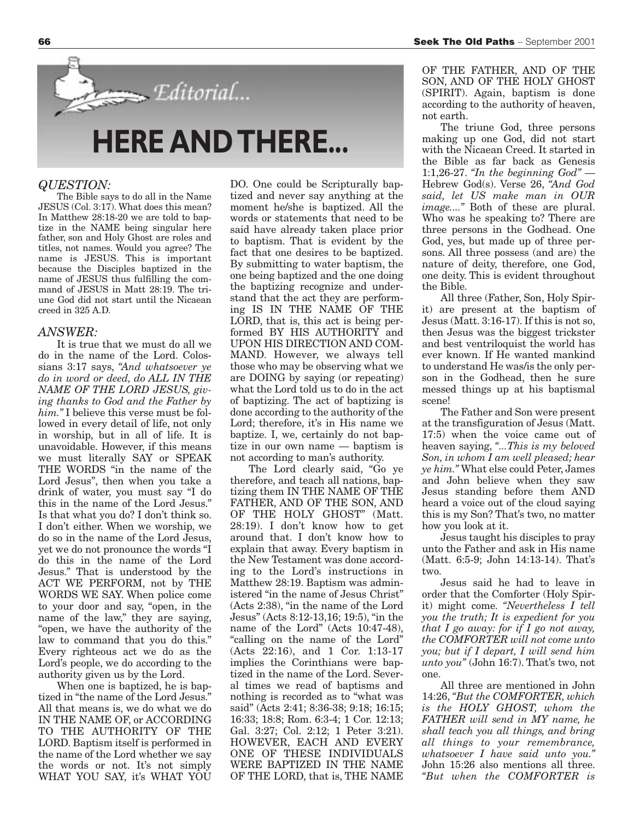# **HERE AND THERE...**

Editorial...

#### *QUESTION:*

The Bible says to do all in the Name JESUS (Col. 3:17). What does this mean? In Matthew 28:18-20 we are told to baptize in the NAME being singular here father, son and Holy Ghost are roles and titles, not names. Would you agree? The name is JESUS. This is important because the Disciples baptized in the name of JESUS thus fulfilling the command of JESUS in Matt 28:19. The triune God did not start until the Nicaean creed in 325 A.D.

#### *ANSWER:*

It is true that we must do all we do in the name of the Lord. Colossians 3:17 says, *"And whatsoever ye do in word or deed, do ALL IN THE NAME OF THE LORD JESUS, giving thanks to God and the Father by him."* I believe this verse must be followed in every detail of life, not only in worship, but in all of life. It is unavoidable. However, if this means we must literally SAY or SPEAK THE WORDS "in the name of the Lord Jesus", then when you take a drink of water, you must say "I do this in the name of the Lord Jesus." Is that what you do? I don't think so. I don't either. When we worship, we do so in the name of the Lord Jesus, yet we do not pronounce the words "I do this in the name of the Lord Jesus." That is understood by the ACT WE PERFORM, not by THE WORDS WE SAY. When police come to your door and say, "open, in the name of the law," they are saying, "open, we have the authority of the law to command that you do this." Every righteous act we do as the Lord's people, we do according to the authority given us by the Lord.

When one is baptized, he is baptized in "the name of the Lord Jesus." All that means is, we do what we do IN THE NAME OF, or ACCORDING TO THE AUTHORITY OF THE LORD. Baptism itself is performed in the name of the Lord whether we say the words or not. It's not simply WHAT YOU SAY, it's WHAT YOU

DO. One could be Scripturally baptized and never say anything at the moment he/she is baptized. All the words or statements that need to be said have already taken place prior to baptism. That is evident by the fact that one desires to be baptized. By submitting to water baptism, the one being baptized and the one doing the baptizing recognize and understand that the act they are performing IS IN THE NAME OF THE LORD, that is, this act is being performed BY HIS AUTHORITY and UPON HIS DIRECTION AND COM-MAND. However, we always tell those who may be observing what we are DOING by saying (or repeating) what the Lord told us to do in the act of baptizing. The act of baptizing is done according to the authority of the Lord; therefore, it's in His name we baptize. I, we, certainly do not baptize in our own name — baptism is not according to man's authority.

The Lord clearly said, "Go ye therefore, and teach all nations, baptizing them IN THE NAME OF THE FATHER, AND OF THE SON, AND OF THE HOLY GHOST" (Matt. 28:19). I don't know how to get around that. I don't know how to explain that away. Every baptism in the New Testament was done according to the Lord's instructions in Matthew 28:19. Baptism was administered "in the name of Jesus Christ" (Acts 2:38), "in the name of the Lord Jesus" (Acts 8:12-13,16; 19:5), "in the name of the Lord" (Acts 10:47-48), "calling on the name of the Lord" (Acts 22:16), and 1 Cor. 1:13-17 implies the Corinthians were baptized in the name of the Lord. Several times we read of baptisms and nothing is recorded as to "what was said" (Acts 2:41; 8:36-38; 9:18; 16:15; 16:33; 18:8; Rom. 6:3-4; 1 Cor. 12:13; Gal. 3:27; Col. 2:12; 1 Peter 3:21). HOWEVER, EACH AND EVERY ONE OF THESE INDIVIDUALS WERE BAPTIZED IN THE NAME OF THE LORD, that is, THE NAME

The triune God, three persons making up one God, did not start with the Nicaean Creed. It started in the Bible as far back as Genesis 1:1,26-27. *"In the beginning God"* — Hebrew God(s). Verse 26, *"And God said, let US make man in OUR image...."* Both of these are plural. Who was he speaking to? There are three persons in the Godhead. One God, yes, but made up of three persons. All three possess (and are) the nature of deity, therefore, one God, one deity. This is evident throughout the Bible.

All three (Father, Son, Holy Spirit) are present at the baptism of Jesus (Matt. 3:16-17). If this is not so, then Jesus was the biggest trickster and best ventriloquist the world has ever known. If He wanted mankind to understand He was/is the only person in the Godhead, then he sure messed things up at his baptismal scene!

The Father and Son were present at the transfiguration of Jesus (Matt. 17:5) when the voice came out of heaven saying, *"...This is my beloved Son, in whom I am well pleased; hear ye him."* What else could Peter, James and John believe when they saw Jesus standing before them AND heard a voice out of the cloud saying this is my Son? That's two, no matter how you look at it.

Jesus taught his disciples to pray unto the Father and ask in His name (Matt. 6:5-9; John 14:13-14). That's two.

Jesus said he had to leave in order that the Comforter (Holy Spirit) might come. *"Nevertheless I tell you the truth; It is expedient for you that I go away: for if I go not away, the COMFORTER will not come unto you; but if I depart, I will send him unto you"* (John 16:7). That's two, not one.

All three are mentioned in John 14:26, *"But the COMFORTER, which is the HOLY GHOST, whom the FATHER will send in MY name, he shall teach you all things, and bring all things to your remembrance, whatsoever I have said unto you."* John 15:26 also mentions all three. *"But when the COMFORTER is*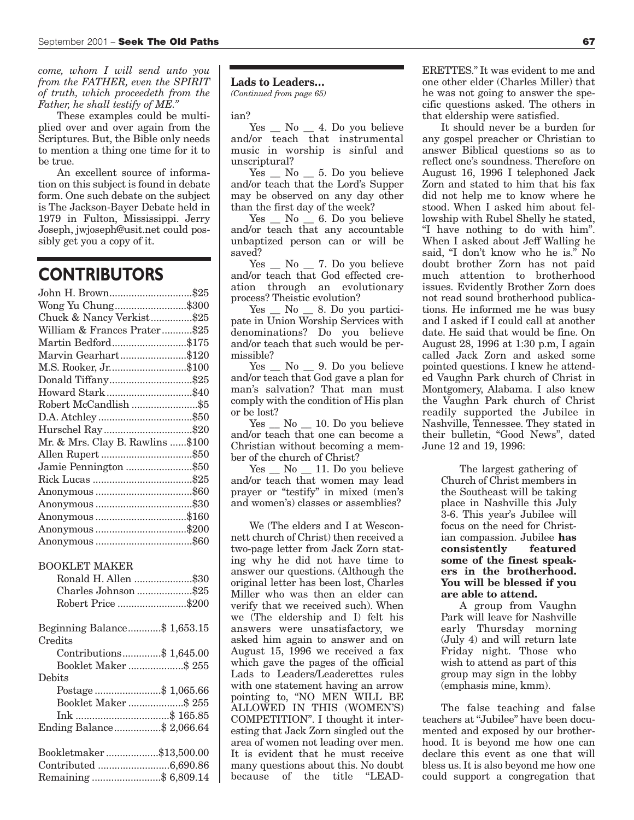*come, whom I will send unto you from the FATHER, even the SPIRIT of truth, which proceedeth from the Father, he shall testify of ME."*

These examples could be multiplied over and over again from the Scriptures. But, the Bible only needs to mention a thing one time for it to be true.

An excellent source of information on this subject is found in debate form. One such debate on the subject is The Jackson-Bayer Debate held in 1979 in Fulton, Mississippi. Jerry Joseph, jwjoseph@usit.net could possibly get you a copy of it.

## **CONTRIBUTORS**

| John H. Brown\$25                |  |
|----------------------------------|--|
| Wong Yu Chung\$300               |  |
| Chuck & Nancy Verkist\$25        |  |
| William & Frances Prater\$25     |  |
| Martin Bedford\$175              |  |
| Marvin Gearhart\$120             |  |
| M.S. Rooker, Jr\$100             |  |
| Donald Tiffany\$25               |  |
| Howard Stark\$40                 |  |
| Robert McCandlish\$5             |  |
|                                  |  |
| Hurschel Ray\$20                 |  |
| Mr. & Mrs. Clay B. Rawlins \$100 |  |
|                                  |  |
| Jamie Pennington \$50            |  |
|                                  |  |
|                                  |  |
|                                  |  |
| Anonymous \$160                  |  |
| Anonymous \$200                  |  |
|                                  |  |
|                                  |  |

#### BOOKLET MAKER

| Ronald H. Allen \$30         |  |
|------------------------------|--|
| Charles Johnson \$25         |  |
| Robert Price \$200           |  |
| Beginning Balance\$ 1,653.15 |  |
| Credits                      |  |
| Contributions\$ 1,645.00     |  |
| Booklet Maker \$255          |  |
| $\rm\bf Debits$              |  |
| Postage\$ 1,065.66           |  |
| Booklet Maker \$255          |  |
|                              |  |
| Ending Balance\$ 2,066.64    |  |
| Bookletmaker\$13,500.00      |  |
|                              |  |
| Remaining \$ 6,809.14        |  |

### **Lads to Leaders…**

*(Continued from page 65)*

ian?

 $Yes \_ No \_ 4. Do you believe$ and/or teach that instrumental music in worship is sinful and unscriptural?

 $Yes \_ No \_ 5. Do you believe$ and/or teach that the Lord's Supper may be observed on any day other than the first day of the week?

Yes \_ No \_ 6. Do you believe and/or teach that any accountable unbaptized person can or will be saved?

 $Yes \_ No \_ 7. Do you believe$ and/or teach that God effected creation through an evolutionary process? Theistic evolution?

Yes  $\_\,$  No  $\_\,$  8. Do you participate in Union Worship Services with denominations? Do you believe and/or teach that such would be permissible?

Yes \_ No \_ 9. Do you believe and/or teach that God gave a plan for man's salvation? That man must comply with the condition of His plan or be lost?

Yes No 10. Do you believe and/or teach that one can become a Christian without becoming a member of the church of Christ?

Yes No 11. Do you believe and/or teach that women may lead prayer or "testify" in mixed (men's and women's) classes or assemblies?

We (The elders and I at Wesconnett church of Christ) then received a two-page letter from Jack Zorn stating why he did not have time to answer our questions. (Although the original letter has been lost, Charles Miller who was then an elder can verify that we received such). When we (The eldership and I) felt his answers were unsatisfactory, we asked him again to answer and on August 15, 1996 we received a fax which gave the pages of the official Lads to Leaders/Leaderettes rules with one statement having an arrow pointing to, "NO MEN WILL BE ALLOWED IN THIS (WOMEN'S) COMPETITION". I thought it interesting that Jack Zorn singled out the area of women not leading over men. It is evident that he must receive many questions about this. No doubt because of the title "LEAD-

ERETTES." It was evident to me and one other elder (Charles Miller) that he was not going to answer the specific questions asked. The others in that eldership were satisfied.

It should never be a burden for any gospel preacher or Christian to answer Biblical questions so as to reflect one's soundness. Therefore on August 16, 1996 I telephoned Jack Zorn and stated to him that his fax did not help me to know where he stood. When I asked him about fellowship with Rubel Shelly he stated, "I have nothing to do with him". When I asked about Jeff Walling he said, "I don't know who he is." No doubt brother Zorn has not paid much attention to brotherhood issues. Evidently Brother Zorn does not read sound brotherhood publications. He informed me he was busy and I asked if I could call at another date. He said that would be fine. On August 28, 1996 at 1:30 p.m, I again called Jack Zorn and asked some pointed questions. I knew he attended Vaughn Park church of Christ in Montgomery, Alabama. I also knew the Vaughn Park church of Christ readily supported the Jubilee in Nashville, Tennessee. They stated in their bulletin, "Good News", dated June 12 and 19, 1996:

> The largest gathering of Church of Christ members in the Southeast will be taking place in Nashville this July 3-6. This year's Jubilee will focus on the need for Christian compassion. Jubilee **has consistently featured some of the finest speakers in the brotherhood. You will be blessed if you are able to attend.**

> A group from Vaughn Park will leave for Nashville early Thursday morning (July 4) and will return late Friday night. Those who wish to attend as part of this group may sign in the lobby (emphasis mine, kmm).

The false teaching and false teachers at "Jubilee" have been documented and exposed by our brotherhood. It is beyond me how one can declare this event as one that will bless us. It is also beyond me how one could support a congregation that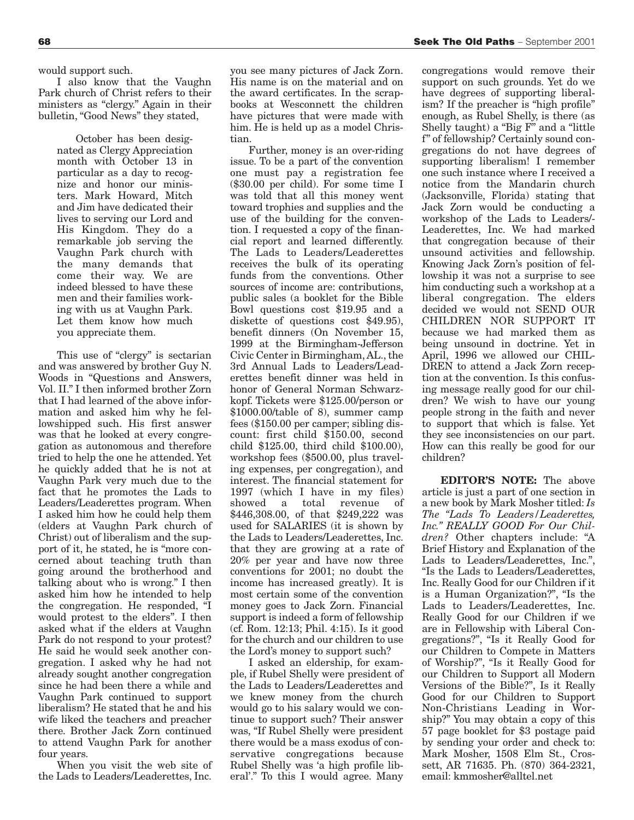would support such.

I also know that the Vaughn Park church of Christ refers to their ministers as "clergy." Again in their bulletin, "Good News" they stated,

> October has been designated as Clergy Appreciation month with October 13 in particular as a day to recognize and honor our ministers. Mark Howard, Mitch and Jim have dedicated their lives to serving our Lord and His Kingdom. They do a remarkable job serving the Vaughn Park church with the many demands that come their way. We are indeed blessed to have these men and their families working with us at Vaughn Park. Let them know how much you appreciate them.

This use of "clergy" is sectarian and was answered by brother Guy N. Woods in "Questions and Answers, Vol. II." I then informed brother Zorn that I had learned of the above information and asked him why he fellowshipped such. His first answer was that he looked at every congregation as autonomous and therefore tried to help the one he attended. Yet he quickly added that he is not at Vaughn Park very much due to the fact that he promotes the Lads to Leaders/Leaderettes program. When I asked him how he could help them (elders at Vaughn Park church of Christ) out of liberalism and the support of it, he stated, he is "more concerned about teaching truth than going around the brotherhood and talking about who is wrong." I then asked him how he intended to help the congregation. He responded, "I would protest to the elders". I then asked what if the elders at Vaughn Park do not respond to your protest? He said he would seek another congregation. I asked why he had not already sought another congregation since he had been there a while and Vaughn Park continued to support liberalism? He stated that he and his wife liked the teachers and preacher there. Brother Jack Zorn continued to attend Vaughn Park for another four years.

When you visit the web site of the Lads to Leaders/Leaderettes, Inc. you see many pictures of Jack Zorn. His name is on the material and on the award certificates. In the scrapbooks at Wesconnett the children have pictures that were made with him. He is held up as a model Christian.

Further, money is an over-riding issue. To be a part of the convention one must pay a registration fee (\$30.00 per child). For some time I was told that all this money went toward trophies and supplies and the use of the building for the convention. I requested a copy of the financial report and learned differently. The Lads to Leaders/Leaderettes receives the bulk of its operating funds from the conventions. Other sources of income are: contributions, public sales (a booklet for the Bible Bowl questions cost \$19.95 and a diskette of questions cost \$49.95), benefit dinners (On November 15, 1999 at the Birmingham-Jefferson Civic Center in Birmingham, AL., the 3rd Annual Lads to Leaders/Leaderettes benefit dinner was held in honor of General Norman Schwarzkopf. Tickets were \$125.00/person or \$1000.00/table of 8), summer camp fees (\$150.00 per camper; sibling discount: first child \$150.00, second child \$125.00, third child \$100.00), workshop fees (\$500.00, plus traveling expenses, per congregation), and interest. The financial statement for 1997 (which I have in my files) showed a total revenue of \$446,308.00, of that \$249,222 was used for SALARIES (it is shown by the Lads to Leaders/Leaderettes, Inc. that they are growing at a rate of 20% per year and have now three conventions for 2001; no doubt the income has increased greatly). It is most certain some of the convention money goes to Jack Zorn. Financial support is indeed a form of fellowship (cf. Rom. 12:13; Phil. 4:15). Is it good for the church and our children to use the Lord's money to support such?

I asked an eldership, for example, if Rubel Shelly were president of the Lads to Leaders/Leaderettes and we knew money from the church would go to his salary would we continue to support such? Their answer was, "If Rubel Shelly were president there would be a mass exodus of conservative congregations because Rubel Shelly was 'a high profile liberal'." To this I would agree. Many

congregations would remove their support on such grounds. Yet do we have degrees of supporting liberalism? If the preacher is "high profile" enough, as Rubel Shelly, is there (as Shelly taught) a "Big F" and a "little f" of fellowship? Certainly sound congregations do not have degrees of supporting liberalism! I remember one such instance where I received a notice from the Mandarin church (Jacksonville, Florida) stating that Jack Zorn would be conducting a workshop of the Lads to Leaders/- Leaderettes, Inc. We had marked that congregation because of their unsound activities and fellowship. Knowing Jack Zorn's position of fellowship it was not a surprise to see him conducting such a workshop at a liberal congregation. The elders decided we would not SEND OUR CHILDREN NOR SUPPORT IT because we had marked them as being unsound in doctrine. Yet in April, 1996 we allowed our CHIL-DREN to attend a Jack Zorn reception at the convention. Is this confusing message really good for our children? We wish to have our young people strong in the faith and never to support that which is false. Yet they see inconsistencies on our part. How can this really be good for our children?

**EDITOR'S NOTE:** The above article is just a part of one section in a new book by Mark Mosher titled: *Is The "Lads To Leaders/Leaderettes, Inc." REALLY GOOD For Our Children?* Other chapters include: "A Brief History and Explanation of the Lads to Leaders/Leaderettes, Inc.", "Is the Lads to Leaders/Leaderettes, Inc. Really Good for our Children if it is a Human Organization?", "Is the Lads to Leaders/Leaderettes, Inc. Really Good for our Children if we are in Fellowship with Liberal Congregations?", "Is it Really Good for our Children to Compete in Matters of Worship?", "Is it Really Good for our Children to Support all Modern Versions of the Bible?", Is it Really Good for our Children to Support Non-Christians Leading in Worship?" You may obtain a copy of this 57 page booklet for \$3 postage paid by sending your order and check to: Mark Mosher, 1508 Elm St., Crossett, AR 71635. Ph. (870) 364-2321, email: kmmosher@alltel.net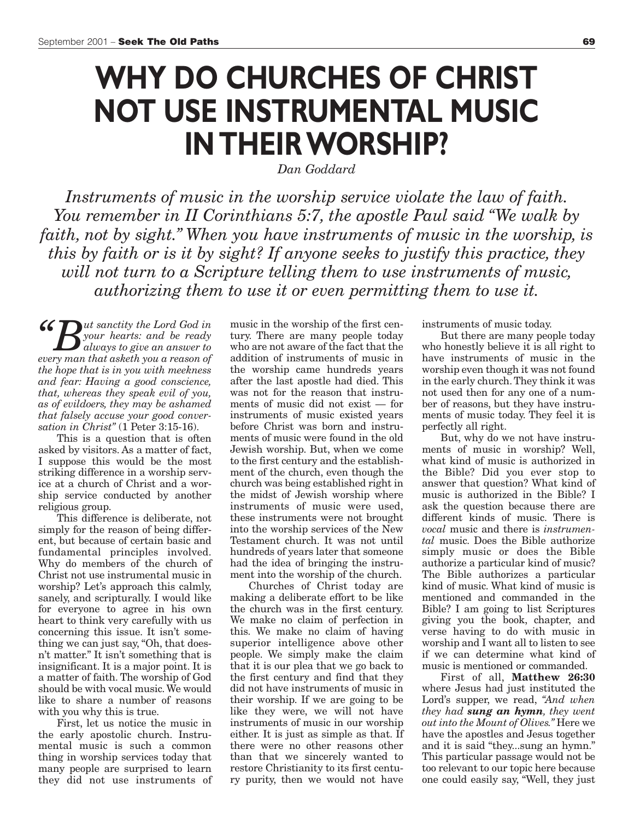# **WHY DO CHURCHES OF CHRIST NOT USE INSTRUMENTAL MUSIC IN THEIR WORSHIP?**

*Dan Goddard* 

*Instruments of music in the worship service violate the law of faith. You remember in II Corinthians 5:7, the apostle Paul said "We walk by faith, not by sight." When you have instruments of music in the worship, is this by faith or is it by sight? If anyone seeks to justify this practice, they will not turn to a Scripture telling them to use instruments of music, authorizing them to use it or even permitting them to use it.*

*"But sanctity the Lord God in always to give an answer to G*  $\mathbb{R}$ <sup>*your hearts: and be ready*</sup> *every man that asketh you a reason of the hope that is in you with meekness and fear: Having a good conscience, that, whereas they speak evil of you, as of evildoers, they may be ashamed that falsely accuse your good conversation in Christ"* (1 Peter 3:15-16).

This is a question that is often asked by visitors. As a matter of fact, I suppose this would be the most striking difference in a worship service at a church of Christ and a worship service conducted by another religious group.

This difference is deliberate, not simply for the reason of being different, but because of certain basic and fundamental principles involved. Why do members of the church of Christ not use instrumental music in worship? Let's approach this calmly, sanely, and scripturally. I would like for everyone to agree in his own heart to think very carefully with us concerning this issue. It isn't something we can just say, "Oh, that doesn't matter." It isn't something that is insignificant. It is a major point. It is a matter of faith. The worship of God should be with vocal music. We would like to share a number of reasons with you why this is true.

First, let us notice the music in the early apostolic church. Instrumental music is such a common thing in worship services today that many people are surprised to learn they did not use instruments of music in the worship of the first century. There are many people today who are not aware of the fact that the addition of instruments of music in the worship came hundreds years after the last apostle had died. This was not for the reason that instruments of music did not exist — for instruments of music existed years before Christ was born and instruments of music were found in the old Jewish worship. But, when we come to the first century and the establishment of the church, even though the church was being established right in the midst of Jewish worship where instruments of music were used, these instruments were not brought into the worship services of the New Testament church. It was not until hundreds of years later that someone had the idea of bringing the instrument into the worship of the church.

Churches of Christ today are making a deliberate effort to be like the church was in the first century. We make no claim of perfection in this. We make no claim of having superior intelligence above other people. We simply make the claim that it is our plea that we go back to the first century and find that they did not have instruments of music in their worship. If we are going to be like they were, we will not have instruments of music in our worship either. It is just as simple as that. If there were no other reasons other than that we sincerely wanted to restore Christianity to its first century purity, then we would not have

instruments of music today.

But there are many people today who honestly believe it is all right to have instruments of music in the worship even though it was not found in the early church. They think it was not used then for any one of a number of reasons, but they have instruments of music today. They feel it is perfectly all right.

But, why do we not have instruments of music in worship? Well, what kind of music is authorized in the Bible? Did you ever stop to answer that question? What kind of music is authorized in the Bible? I ask the question because there are different kinds of music. There is *vocal* music and there is *instrumental* music. Does the Bible authorize simply music or does the Bible authorize a particular kind of music? The Bible authorizes a particular kind of music. What kind of music is mentioned and commanded in the Bible? I am going to list Scriptures giving you the book, chapter, and verse having to do with music in worship and I want all to listen to see if we can determine what kind of music is mentioned or commanded.

First of all, **Matthew 26:30** where Jesus had just instituted the Lord's supper, we read, *"And when they had sung an hymn, they went out into the Mount of Olives."* Here we have the apostles and Jesus together and it is said "they...sung an hymn." This particular passage would not be too relevant to our topic here because one could easily say, "Well, they just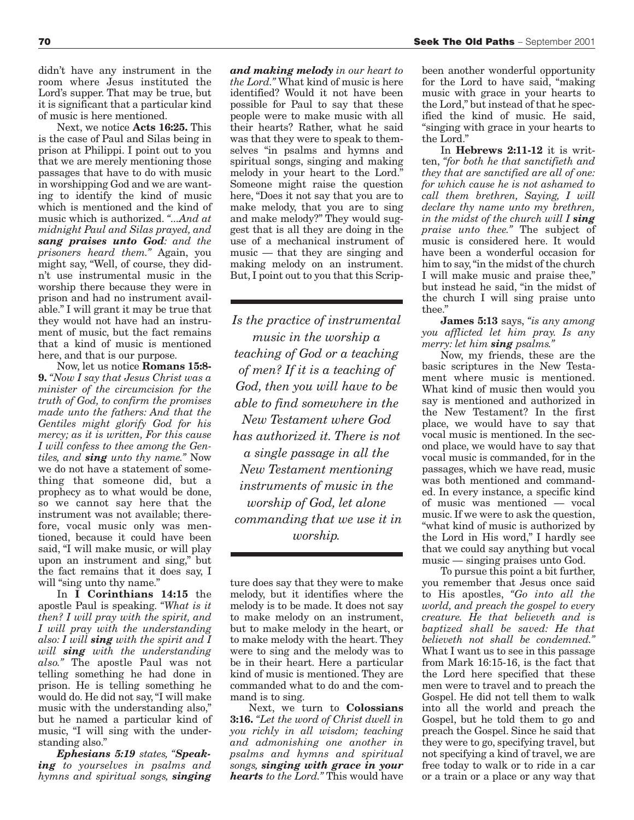didn't have any instrument in the room where Jesus instituted the Lord's supper. That may be true, but it is significant that a particular kind of music is here mentioned.

Next, we notice **Acts 16:25.** This is the case of Paul and Silas being in prison at Philippi. I point out to you that we are merely mentioning those passages that have to do with music in worshipping God and we are wanting to identify the kind of music which is mentioned and the kind of music which is authorized. *"...And at midnight Paul and Silas prayed, and sang praises unto God: and the prisoners heard them."* Again, you might say, "Well, of course, they didn't use instrumental music in the worship there because they were in prison and had no instrument available." I will grant it may be true that they would not have had an instrument of music, but the fact remains that a kind of music is mentioned here, and that is our purpose.

Now, let us notice **Romans 15:8- 9.** *"Now I say that Jesus Christ was a minister of the circumcision for the truth of God, to confirm the promises made unto the fathers: And that the Gentiles might glorify God for his mercy; as it is written, For this cause I will confess to thee among the Gentiles, and sing unto thy name."* Now we do not have a statement of something that someone did, but a prophecy as to what would be done, so we cannot say here that the instrument was not available; therefore, vocal music only was mentioned, because it could have been said, "I will make music, or will play upon an instrument and sing," but the fact remains that it does say, I will "sing unto thy name."

In **I Corinthians 14:15** the apostle Paul is speaking. *"What is it then? I will pray with the spirit, and I will pray with the understanding also: I will sing with the spirit and I will sing with the understanding also."* The apostle Paul was not telling something he had done in prison. He is telling something he would do. He did not say, "I will make music with the understanding also," but he named a particular kind of music, "I will sing with the understanding also."

*Ephesians 5:19 states, "Speaking to yourselves in psalms and hymns and spiritual songs, singing* *and making melody in our heart to the Lord."* What kind of music is here identified? Would it not have been possible for Paul to say that these people were to make music with all their hearts? Rather, what he said was that they were to speak to themselves "in psalms and hymns and spiritual songs, singing and making melody in your heart to the Lord." Someone might raise the question here, "Does it not say that you are to make melody, that you are to sing and make melody?" They would suggest that is all they are doing in the use of a mechanical instrument of music — that they are singing and making melody on an instrument. But, I point out to you that this Scrip-

*Is the practice of instrumental music in the worship a teaching of God or a teaching of men? If it is a teaching of God, then you will have to be able to find somewhere in the New Testament where God has authorized it. There is not a single passage in all the New Testament mentioning instruments of music in the worship of God, let alone commanding that we use it in worship.*

ture does say that they were to make melody, but it identifies where the melody is to be made. It does not say to make melody on an instrument, but to make melody in the heart, or to make melody with the heart. They were to sing and the melody was to be in their heart. Here a particular kind of music is mentioned. They are commanded what to do and the command is to sing.

Next, we turn to **Colossians 3:16.** *"Let the word of Christ dwell in you richly in all wisdom; teaching and admonishing one another in psalms and hymns and spiritual songs, singing with grace in your hearts to the Lord."* This would have

been another wonderful opportunity for the Lord to have said, "making music with grace in your hearts to the Lord," but instead of that he specified the kind of music. He said, "singing with grace in your hearts to the Lord."

In **Hebrews 2:11-12** it is written, *"for both he that sanctifieth and they that are sanctified are all of one: for which cause he is not ashamed to call them brethren, Saying, I will declare thy name unto my brethren, in the midst of the church will I sing praise unto thee."* The subject of music is considered here. It would have been a wonderful occasion for him to say, "in the midst of the church I will make music and praise thee," but instead he said, "in the midst of the church I will sing praise unto thee."

**James 5:13** says, *"is any among you afflicted let him pray. Is any merry: let him sing psalms."*

Now, my friends, these are the basic scriptures in the New Testament where music is mentioned. What kind of music then would you say is mentioned and authorized in the New Testament? In the first place, we would have to say that vocal music is mentioned. In the second place, we would have to say that vocal music is commanded, for in the passages, which we have read, music was both mentioned and commanded. In every instance, a specific kind of music was mentioned — vocal music. If we were to ask the question, "what kind of music is authorized by the Lord in His word," I hardly see that we could say anything but vocal music — singing praises unto God.

To pursue this point a bit further, you remember that Jesus once said to His apostles, *"Go into all the world, and preach the gospel to every creature. He that believeth and is baptized shall be saved: He that believeth not shall be condemned."* What I want us to see in this passage from Mark 16:15-16, is the fact that the Lord here specified that these men were to travel and to preach the Gospel. He did not tell them to walk into all the world and preach the Gospel, but he told them to go and preach the Gospel. Since he said that they were to go, specifying travel, but not specifying a kind of travel, we are free today to walk or to ride in a car or a train or a place or any way that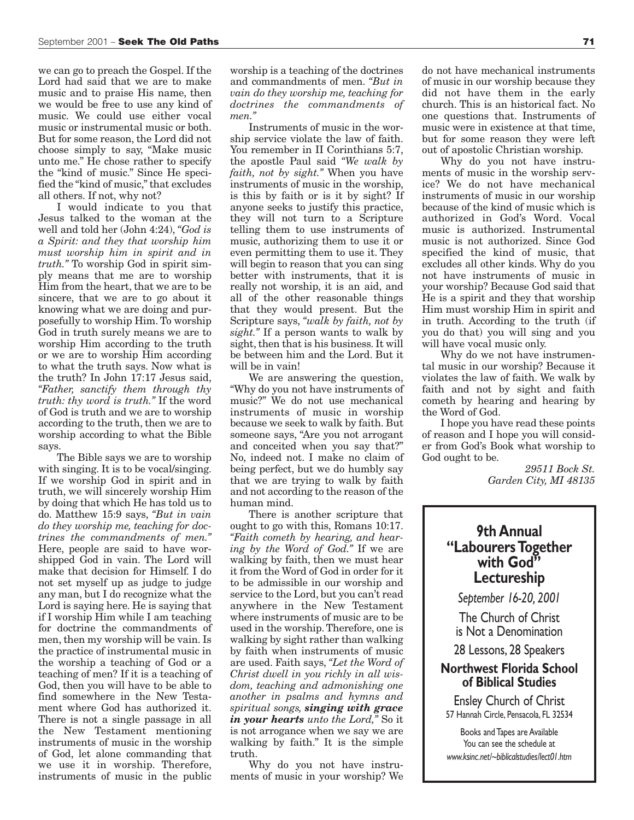we can go to preach the Gospel. If the Lord had said that we are to make music and to praise His name, then we would be free to use any kind of music. We could use either vocal music or instrumental music or both. But for some reason, the Lord did not choose simply to say, "Make music unto me." He chose rather to specify the "kind of music." Since He specified the "kind of music," that excludes all others. If not, why not?

I would indicate to you that Jesus talked to the woman at the well and told her (John 4:24), *"God is a Spirit: and they that worship him must worship him in spirit and in truth."* To worship God in spirit simply means that me are to worship Him from the heart, that we are to be sincere, that we are to go about it knowing what we are doing and purposefully to worship Him. To worship God in truth surely means we are to worship Him according to the truth or we are to worship Him according to what the truth says. Now what is the truth? In John 17:17 Jesus said, *"Father, sanctify them through thy truth: thy word is truth."* If the word of God is truth and we are to worship according to the truth, then we are to worship according to what the Bible says.

The Bible says we are to worship with singing. It is to be vocal/singing. If we worship God in spirit and in truth, we will sincerely worship Him by doing that which He has told us to do. Matthew 15:9 says, *"But in vain do they worship me, teaching for doctrines the commandments of men."* Here, people are said to have worshipped God in vain. The Lord will make that decision for Himself. I do not set myself up as judge to judge any man, but I do recognize what the Lord is saying here. He is saying that if I worship Him while I am teaching for doctrine the commandments of men, then my worship will be vain. Is the practice of instrumental music in the worship a teaching of God or a teaching of men? If it is a teaching of God, then you will have to be able to find somewhere in the New Testament where God has authorized it. There is not a single passage in all the New Testament mentioning instruments of music in the worship of God, let alone commanding that we use it in worship. Therefore, instruments of music in the public

worship is a teaching of the doctrines and commandments of men. *"But in vain do they worship me, teaching for doctrines the commandments of men."*

Instruments of music in the worship service violate the law of faith. You remember in II Corinthians 5:7, the apostle Paul said *"We walk by faith, not by sight."* When you have instruments of music in the worship, is this by faith or is it by sight? If anyone seeks to justify this practice, they will not turn to a Scripture telling them to use instruments of music, authorizing them to use it or even permitting them to use it. They will begin to reason that you can sing better with instruments, that it is really not worship, it is an aid, and all of the other reasonable things that they would present. But the Scripture says, *"walk by faith, not by sight."* If a person wants to walk by sight, then that is his business. It will be between him and the Lord. But it will be in vain!

We are answering the question, "Why do you not have instruments of music?" We do not use mechanical instruments of music in worship because we seek to walk by faith. But someone says, "Are you not arrogant and conceited when you say that?" No, indeed not. I make no claim of being perfect, but we do humbly say that we are trying to walk by faith and not according to the reason of the human mind.

There is another scripture that ought to go with this, Romans 10:17. *"Faith cometh by hearing, and hearing by the Word of God."* If we are walking by faith, then we must hear it from the Word of God in order for it to be admissible in our worship and service to the Lord, but you can't read anywhere in the New Testament where instruments of music are to be used in the worship. Therefore, one is walking by sight rather than walking by faith when instruments of music are used. Faith says, *"Let the Word of Christ dwell in you richly in all wisdom, teaching and admonishing one another in psalms and hymns and spiritual songs, singing with grace in your hearts unto the Lord,"* So it is not arrogance when we say we are walking by faith." It is the simple truth.

Why do you not have instruments of music in your worship? We

do not have mechanical instruments of music in our worship because they did not have them in the early church. This is an historical fact. No one questions that. Instruments of music were in existence at that time, but for some reason they were left out of apostolic Christian worship.

Why do you not have instruments of music in the worship service? We do not have mechanical instruments of music in our worship because of the kind of music which is authorized in God's Word. Vocal music is authorized. Instrumental music is not authorized. Since God specified the kind of music, that excludes all other kinds. Why do you not have instruments of music in your worship? Because God said that He is a spirit and they that worship Him must worship Him in spirit and in truth. According to the truth (if you do that) you will sing and you will have vocal music only.

Why do we not have instrumental music in our worship? Because it violates the law of faith. We walk by faith and not by sight and faith cometh by hearing and hearing by the Word of God.

I hope you have read these points of reason and I hope you will consider from God's Book what worship to God ought to be.

> *29511 Bock St. Garden City, MI 48135*

### **9th Annual "Labourers Together with God" Lectureship**

*September 16-20, 2001* 

The Church of Christ is Not a Denomination

28 Lessons, 28 Speakers

### **Northwest Florida School of Biblical Studies**

Ensley Church of Christ 57 Hannah Circle, Pensacola, FL 32534

Books and Tapes are Available You can see the schedule at *www.ksinc.net/~biblicalstudies/lect01.htm*